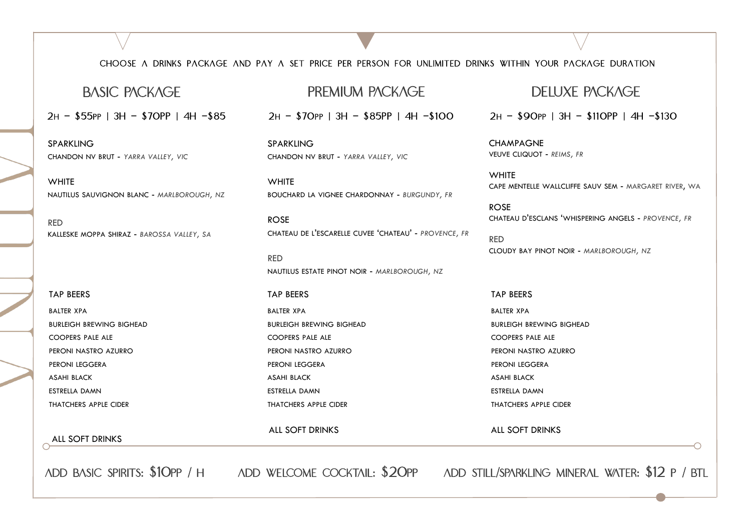### CHOOSE A DRINKS PACKAGE AND PAY A SET PRICE PER PERSON FOR UNLIMITED DRINKS WITHIN YOUR PACKAGE DURATION

2H - \$55PP | 3H - \$70PP | 4H -\$85

SPARKLING CHANDON NV BRUT - *YARRA VALLEY, VIC*

**WHITE** NAUTILUS SAUVIGNON BLANC - *MARLBOROUGH, NZ*

RED KALLESKE MOPPA SHIRAZ - *BAROSSA VALLEY, SA*

TAP BEERS BALTER XPA BURLEIGH BREWING BIGHEAD COOPERS PALE ALE PERONI NASTRO AZURRO PERONI LEGGERA ASAHI BLACK ESTRELLA DAMN THATCHERS APPLE CIDER

#### ALL SOFT DRINKS

BURLEIGH BREWING BIGHEAD

COOPERS PALE ALE PERONI NASTRO AZURRO

PERONI LEGGERA ASAHI BLACK ESTRELLA DAMN

THATCHERS APPLE CIDER

ALL SOFT DRINKS

SPARKLING

**WHITE** 

ROSE

RED

TAP BEERS BALTER XPA

CHANDON NV BRUT - *YARRA VALLEY, VIC*

BOUCHARD LA VIGNEE CHARDONNAY - *BURGUNDY, FR*

2H - \$70PP | 3H - \$85PP | 4H -\$100

NAUTILUS ESTATE PINOT NOIR - *MARLBOROUGH, NZ*

CHATEAU DE L'ESCARELLE CUVEE 'CHATEAU' - *PROVENCE, FR*

ADD BASIC SPIRITS: \$10PP / H ADD WELCOME COCKTAIL: \$20PP ADD STILL/SPARKLING MINERAL WATER: \$12 P / BTL

## BASIC PACKAGE PREMIUM PACKAGE DELUXE PACKAGE

2H - \$90PP | 3H - \$110PP | 4H -\$130

**CHAMPAGNE** VEUVE CLIQUOT - *REIMS, FR*

**WHITE** CAPE MENTELLE WALLCLIFFE SAUV SEM - MARGARET RIVER, WA

ROSE CHATEAU D'ESCLANS 'WHISPERING ANGELS - *PROVENCE, FR*

RED CLOUDY BAY PINOT NOIR - *MARLBOROUGH, NZ*

TAP BEERS BALTER XPA BURLEIGH BREWING BIGHEAD COOPERS PALE ALE PERONI NASTRO AZURRO PERONI LEGGERA ASAHI BLACK ESTRELLA DAMN THATCHERS APPLE CIDER

#### ALL SOFT DRINKS